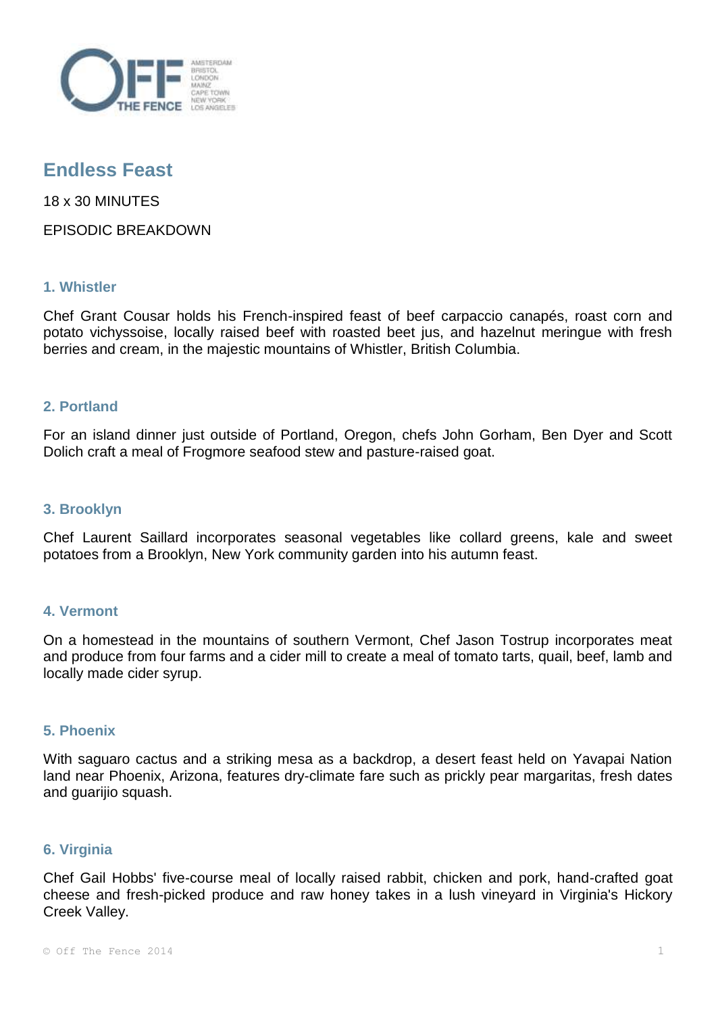

# **Endless Feast**

18 x 30 MINUTES

EPISODIC BREAKDOWN

# **1. Whistler**

Chef Grant Cousar holds his French-inspired feast of beef carpaccio canapés, roast corn and potato vichyssoise, locally raised beef with roasted beet jus, and hazelnut meringue with fresh berries and cream, in the majestic mountains of Whistler, British Columbia.

# **2. Portland**

For an island dinner just outside of Portland, Oregon, chefs John Gorham, Ben Dyer and Scott Dolich craft a meal of Frogmore seafood stew and pasture-raised goat.

## **3. Brooklyn**

Chef Laurent Saillard incorporates seasonal vegetables like collard greens, kale and sweet potatoes from a Brooklyn, New York community garden into his autumn feast.

## **4. Vermont**

On a homestead in the mountains of southern Vermont, Chef Jason Tostrup incorporates meat and produce from four farms and a cider mill to create a meal of tomato tarts, quail, beef, lamb and locally made cider syrup.

# **5. Phoenix**

With saguaro cactus and a striking mesa as a backdrop, a desert feast held on Yavapai Nation land near Phoenix, Arizona, features dry-climate fare such as prickly pear margaritas, fresh dates and guarijio squash.

## **6. Virginia**

Chef Gail Hobbs' five-course meal of locally raised rabbit, chicken and pork, hand-crafted goat cheese and fresh-picked produce and raw honey takes in a lush vineyard in Virginia's Hickory Creek Valley.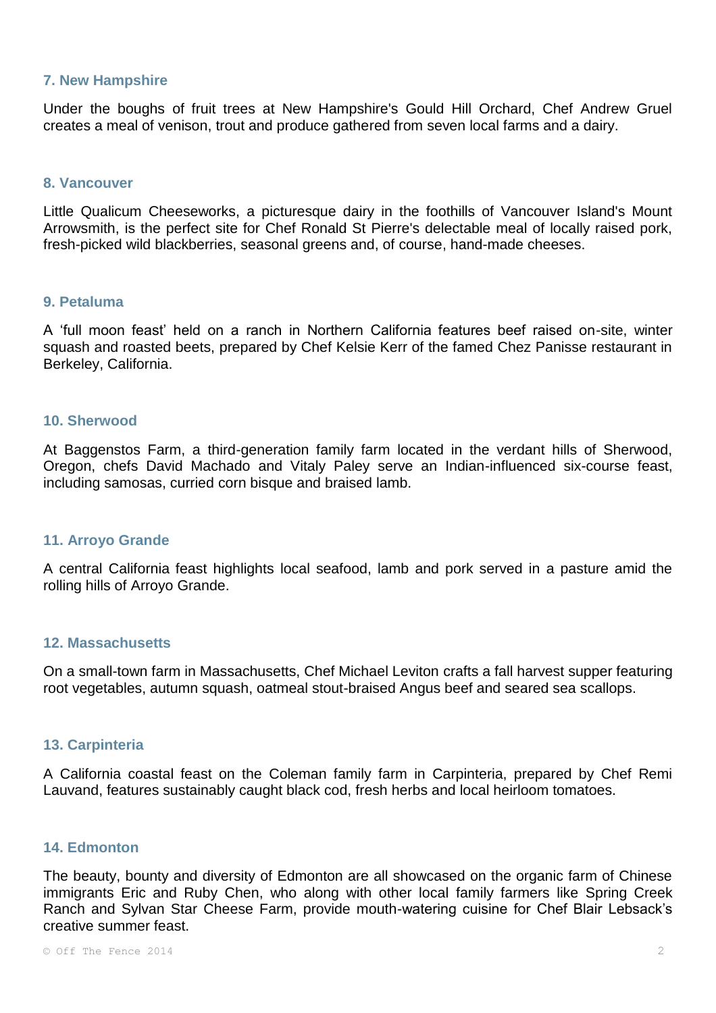#### **7. New Hampshire**

Under the boughs of fruit trees at New Hampshire's Gould Hill Orchard, Chef Andrew Gruel creates a meal of venison, trout and produce gathered from seven local farms and a dairy.

#### **8. Vancouver**

Little Qualicum Cheeseworks, a picturesque dairy in the foothills of Vancouver Island's Mount Arrowsmith, is the perfect site for Chef Ronald St Pierre's delectable meal of locally raised pork, fresh-picked wild blackberries, seasonal greens and, of course, hand-made cheeses.

#### **9. Petaluma**

A 'full moon feast' held on a ranch in Northern California features beef raised on-site, winter squash and roasted beets, prepared by Chef Kelsie Kerr of the famed Chez Panisse restaurant in Berkeley, California.

## **10. Sherwood**

At Baggenstos Farm, a third-generation family farm located in the verdant hills of Sherwood, Oregon, chefs David Machado and Vitaly Paley serve an Indian-influenced six-course feast, including samosas, curried corn bisque and braised lamb.

#### **11. Arroyo Grande**

A central California feast highlights local seafood, lamb and pork served in a pasture amid the rolling hills of Arroyo Grande.

#### **12. Massachusetts**

On a small-town farm in Massachusetts, Chef Michael Leviton crafts a fall harvest supper featuring root vegetables, autumn squash, oatmeal stout-braised Angus beef and seared sea scallops.

#### **13. Carpinteria**

A California coastal feast on the Coleman family farm in Carpinteria, prepared by Chef Remi Lauvand, features sustainably caught black cod, fresh herbs and local heirloom tomatoes.

#### **14. Edmonton**

The beauty, bounty and diversity of Edmonton are all showcased on the organic farm of Chinese immigrants Eric and Ruby Chen, who along with other local family farmers like Spring Creek Ranch and Sylvan Star Cheese Farm, provide mouth-watering cuisine for Chef Blair Lebsack's creative summer feast.